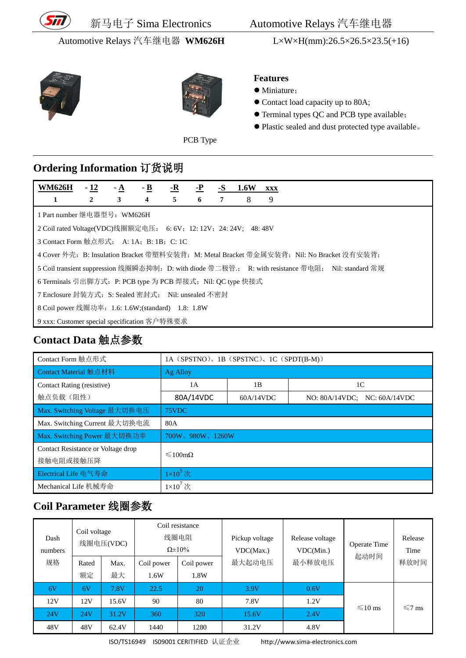

新马电子 Sima Electronics Automotive Relays 汽车继电器

Automotive Relays 汽车继电器 **WM626H** L×W×H(mm):26.5×26.5×23.5(+16)





#### **Features** • Miniature;

- Contact load capacity up to 80A;
- Terminal types QC and PCB type available;
- Plastic sealed and dust protected type available。

PCB Type

#### **Ordering Information** 订货说明

| <b>WM626H</b>                                                 | $-12$                                        | - A | $-$ <b>B</b>   | <u>-R</u> | $-P$ | -8 | <b>1.6W</b> | <b>XXX</b>                                                                                         |
|---------------------------------------------------------------|----------------------------------------------|-----|----------------|-----------|------|----|-------------|----------------------------------------------------------------------------------------------------|
| 1                                                             | $\overline{2}$                               | 3   | $\overline{4}$ | 5         | 6    | 7  | 8           | 9                                                                                                  |
| 1 Part number 继电器型号: WM626H                                   |                                              |     |                |           |      |    |             |                                                                                                    |
| 2 Coil rated Voltage(VDC)线圈额定电压: 6:6V; 12:12V; 24:24V; 48:48V |                                              |     |                |           |      |    |             |                                                                                                    |
| 3 Contact Form 触点形式: A: 1A: B: 1B: C: 1C                      |                                              |     |                |           |      |    |             |                                                                                                    |
|                                                               |                                              |     |                |           |      |    |             | 4 Cover 外壳: B: Insulation Bracket 带塑料安装背; M: Metal Bracket 带金属安装背; Nil: No Bracket 没有安装背;          |
|                                                               |                                              |     |                |           |      |    |             | 5 Coil transient suppression 线圈瞬态抑制: D: with diode 带二极管:; R: with resistance 带电阻; Nil: standard 常规 |
| 6 Terminals 引出脚方式: P: PCB type 为 PCB 焊接式; Nil: QC type 快接式    |                                              |     |                |           |      |    |             |                                                                                                    |
| 7 Enclosure 封装方式: S: Sealed 密封式: Nil: unsealed 不密封            |                                              |     |                |           |      |    |             |                                                                                                    |
| 8 Coil power 线圈功率: 1.6: 1.6W;(standard) 1.8: 1.8W             |                                              |     |                |           |      |    |             |                                                                                                    |
|                                                               | 9 xxx: Customer special specification 客户特殊要求 |     |                |           |      |    |             |                                                                                                    |

## **Contact Data** 触点参数

| Contact Form 触点形式                               | 1A (SPSTNO), 1B (SPSTNC), 1C (SPDT(B-M)) |           |                              |  |  |  |
|-------------------------------------------------|------------------------------------------|-----------|------------------------------|--|--|--|
| Contact Material 触点材料                           | Ag Alloy                                 |           |                              |  |  |  |
| Contact Rating (resistive)                      | 1A                                       | 1B        | 1 <sup>C</sup>               |  |  |  |
| 触点负载(阻性)                                        | 80A/14VDC                                | 60A/14VDC | NO: 80A/14VDC; NC: 60A/14VDC |  |  |  |
| Max. Switching Voltage 最大切换电压                   | 75VDC                                    |           |                              |  |  |  |
| Max. Switching Current 最大切换电流                   | 80A                                      |           |                              |  |  |  |
| Max. Switching Power 最大切换功率                     | 700W、980W、1260W                          |           |                              |  |  |  |
| Contact Resistance or Voltage drop<br>接触电阻或接触压降 | $\leq 100 \text{m}\Omega$                |           |                              |  |  |  |
| Electrical Life 电气寿命                            | $1\times10^5$ 次                          |           |                              |  |  |  |
| Mechanical Life 机械寿命                            | $1\times10^7$ 次                          |           |                              |  |  |  |

## **Coil Parameter** 线圈参数

| Dash<br>numbers | Coil voltage<br>线圈电压(VDC) |            | Coil resistance<br>线圈电阻<br>$\Omega \pm 10\%$ |                    | Pickup voltage<br>VDC(Max.) | Release voltage<br>VDC(Min.) | Operate Time | Release<br>Time |
|-----------------|---------------------------|------------|----------------------------------------------|--------------------|-----------------------------|------------------------------|--------------|-----------------|
| 规格              | Rated<br>额定               | Max.<br>最大 | Coil power<br>1.6W                           | Coil power<br>1.8W | 最大起动电压                      | 最小释放电压                       | 起动时间         | 释放时间            |
| 6V              | 6V                        | 7.8V       | 22.5                                         | 20                 | 3.9V                        | 0.6V                         |              |                 |
| 12V             | 12V                       | 15.6V      | 90                                           | 80                 | 7.8V                        | 1.2V                         | $\leq 10$ ms | $\leq 7$ ms     |
| 24V             | 24V                       | 31.2V      | 360                                          | 320                | 15.6V                       | 2.4V                         |              |                 |
| 48V             | 48V                       | 62.4V      | 1440                                         | 1280               | 31.2V                       | 4.8V                         |              |                 |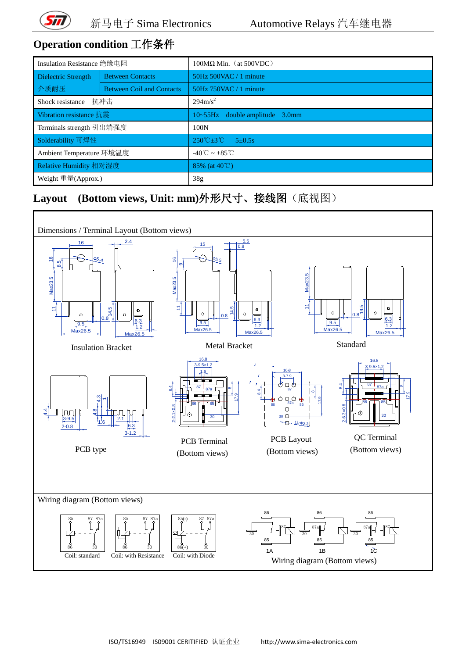

# **Operation condition** 工作条件

| Insulation Resistance 绝缘电阻 |                                  | $100\text{M}\Omega$ Min. (at 500VDC)         |  |  |
|----------------------------|----------------------------------|----------------------------------------------|--|--|
| Dielectric Strength        | <b>Between Contacts</b>          | 50Hz 500VAC / 1 minute                       |  |  |
| 介质耐压                       | <b>Between Coil and Contacts</b> | 50Hz 750VAC / 1 minute                       |  |  |
| Shock resistance           | 抗冲击                              | $294 \text{m/s}^2$                           |  |  |
| Vibration resistance 抗震    |                                  | $10 \sim 55$ Hz double amplitude 3.0mm       |  |  |
| Terminals strength 引出端强度   |                                  | 100N                                         |  |  |
| Solderability 可焊性          |                                  | $250^{\circ}C + 3^{\circ}C$<br>$5 \pm 0.5$ s |  |  |
| Ambient Temperature 环境温度   |                                  | $-40^{\circ}$ C ~ $+85^{\circ}$ C            |  |  |
| Relative Humidity 相对湿度     |                                  | 85% (at $40^{\circ}$ C)                      |  |  |
| Weight 重量(Approx.)         |                                  | 38 <sub>g</sub>                              |  |  |

## **Layout (Bottom views, Unit: mm)**外形尺寸、接线图(底视图)